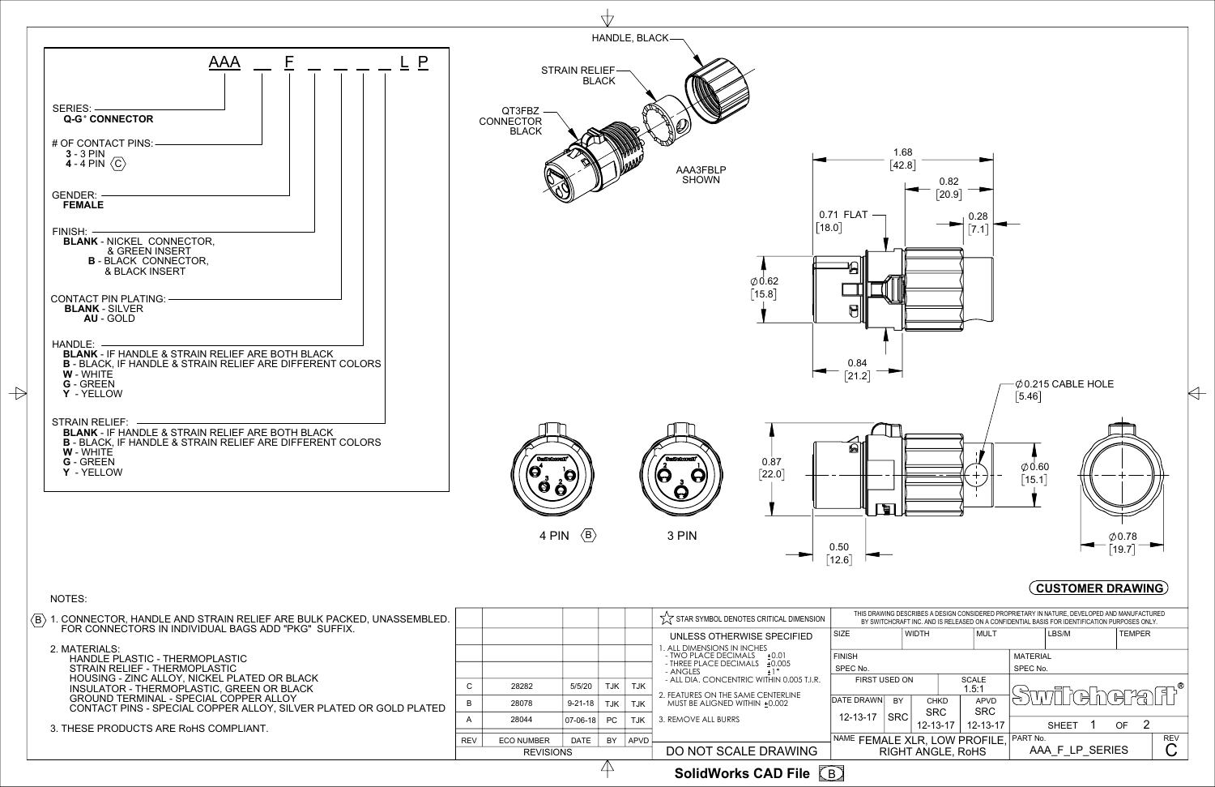

 $\rightarrow$ 

B **SolidWorks CAD File**